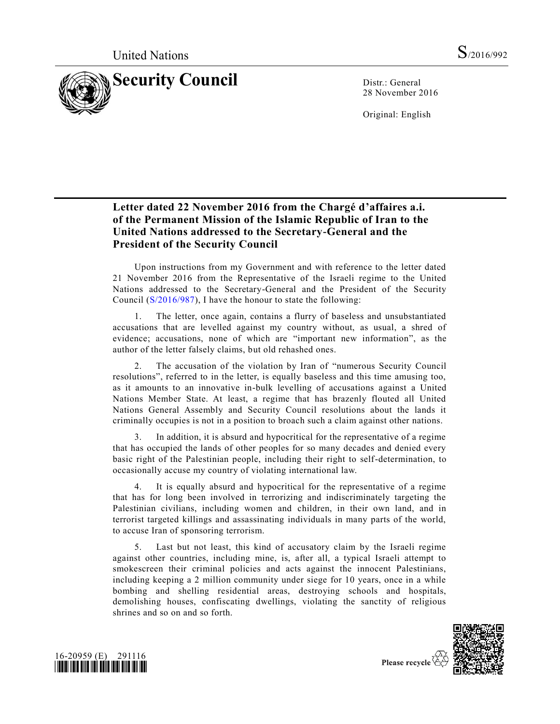

28 November 2016

Original: English

## **Letter dated 22 November 2016 from the Chargé d'affaires a.i. of the Permanent Mission of the Islamic Republic of Iran to the United Nations addressed to the Secretary-General and the President of the Security Council**

Upon instructions from my Government and with reference to the letter dated 21 November 2016 from the Representative of the Israeli regime to the United Nations addressed to the Secretary-General and the President of the Security Council [\(S/2016/987\)](http://undocs.org/S/2016/987), I have the honour to state the following:

The letter, once again, contains a flurry of baseless and unsubstantiated accusations that are levelled against my country without, as usual, a shred of evidence; accusations, none of which are "important new information", as the author of the letter falsely claims, but old rehashed ones.

2. The accusation of the violation by Iran of "numerous Security Council resolutions", referred to in the letter, is equally baseless and this time amusing too, as it amounts to an innovative in-bulk levelling of accusations against a United Nations Member State. At least, a regime that has brazenly flouted all United Nations General Assembly and Security Council resolutions about the lands it criminally occupies is not in a position to broach such a claim against other nations.

In addition, it is absurd and hypocritical for the representative of a regime that has occupied the lands of other peoples for so many decades and denied every basic right of the Palestinian people, including their right to self-determination, to occasionally accuse my country of violating international law.

4. It is equally absurd and hypocritical for the representative of a regime that has for long been involved in terrorizing and indiscriminately targeting the Palestinian civilians, including women and children, in their own land, and in terrorist targeted killings and assassinating individuals in many parts of the world, to accuse Iran of sponsoring terrorism.

5. Last but not least, this kind of accusatory claim by the Israeli regime against other countries, including mine, is, after all, a typical Israeli attempt to smokescreen their criminal policies and acts against the innocent Palestinians, including keeping a 2 million community under siege for 10 years, once in a while bombing and shelling residential areas, destroying schools and hospitals, demolishing houses, confiscating dwellings, violating the sanctity of religious shrines and so on and so forth.